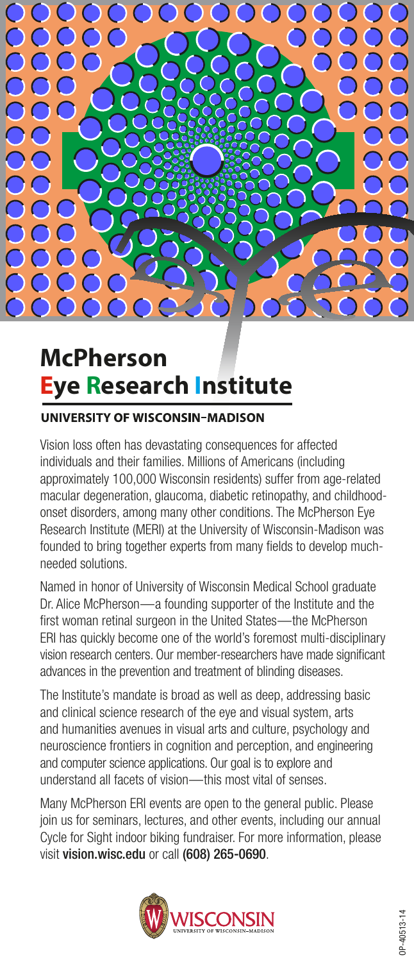

## **Eye Research Institute McPherson**

## **UNIVERSITY OF WISCONSIN-MADISON**

Vision loss often has devastating consequences for affected individuals and their families. Millions of Americans (including approximately 100,000 Wisconsin residents) suffer from age-related macular degeneration, glaucoma, diabetic retinopathy, and childhoodonset disorders, among many other conditions. The McPherson Eye Research Institute (MERI) at the University of Wisconsin-Madison was founded to bring together experts from many fields to develop muchneeded solutions.

Named in honor of University of Wisconsin Medical School graduate Dr. Alice McPherson—a founding supporter of the Institute and the first woman retinal surgeon in the United States—the McPherson ERI has quickly become one of the world's foremost multi-disciplinary vision research centers. Our member-researchers have made significant advances in the prevention and treatment of blinding diseases.

The Institute's mandate is broad as well as deep, addressing basic and clinical science research of the eye and visual system, arts and humanities avenues in visual arts and culture, psychology and neuroscience frontiers in cognition and perception, and engineering and computer science applications. Our goal is to explore and understand all facets of vision—this most vital of senses.

Many McPherson ERI events are open to the general public. Please join us for seminars, lectures, and other events, including our annual Cycle for Sight indoor biking fundraiser. For more information, please visit vision.wisc.edu or call (608) 265-0690.